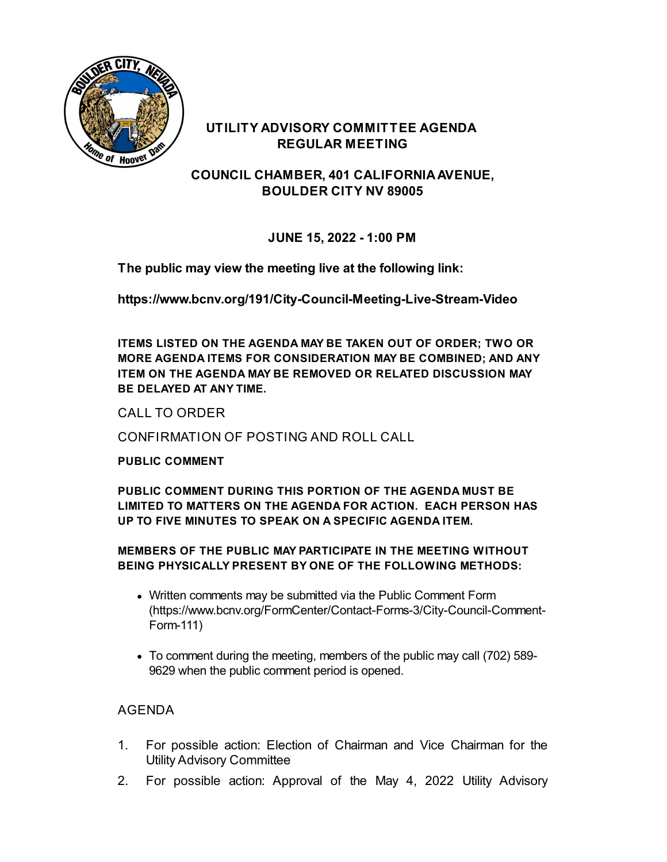

### **UTILITY ADVISORY COMMITTEE AGENDA REGULAR MEETING**

**COUNCIL CHAMBER, 401 CALIFORNIAAVENUE, BOULDER CITY NV 89005**

# **JUNE 15, 2022 - 1:00 PM**

**The public may view the meeting live at the following link:**

**<https://www.bcnv.org/191/City-Council-Meeting-Live-Stream-Video>**

**ITEMS LISTED ON THE AGENDA MAY BE TAKEN OUT OF ORDER; TWO OR MORE AGENDA ITEMS FOR CONSIDERATION MAY BE COMBINED; AND ANY ITEM ON THE AGENDA MAY BE REMOVED OR RELATED DISCUSSION MAY BE DELAYED AT ANY TIME.**

CALL TO ORDER

CONFIRMATION OF POSTING AND ROLL CALL

### **PUBLIC COMMENT**

**PUBLIC COMMENT DURING THIS PORTION OF THE AGENDA MUST BE LIMITED TO MATTERS ON THE AGENDA FOR ACTION. EACH PERSON HAS UP TO FIVE MINUTES TO SPEAK ON A SPECIFIC AGENDA ITEM.**

#### **MEMBERS OF THE PUBLIC MAY PARTICIPATE IN THE MEETING WITHOUT BEING PHYSICALLY PRESENT BY ONE OF THE FOLLOWING METHODS:**

- Written comments may be submitted via the Public Comment Form [\(https://www.bcnv.org/FormCenter/Contact-Forms-3/City-Council-Comment-](https://www.bcnv.org/FormCenter/Contact-Forms-3/City-Council-Comment-Form-111)Form-111)
- To comment during the meeting, members of the public may call (702) 589- 9629 when the public comment period is opened.

# AGENDA

- 1. For possible action: Election of Chairman and Vice Chairman for the Utility Advisory [Committee](file:///C:/Windows/TEMP/CoverSheet.aspx?ItemID=5149&MeetingID=1158)
- 2. For possible action: [Approval](file:///C:/Windows/TEMP/CoverSheet.aspx?ItemID=5150&MeetingID=1158) of the May 4, 2022 Utility Advisory